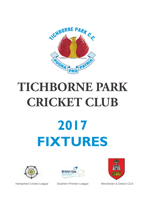

# **2017 FIXTURES TICHBORNE PARK CRICKET CLUB**







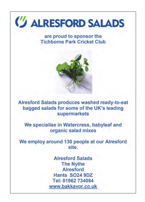

#### are proud to sponsor the **Tichborne Park Cricket Club**



Alresford Salads produces washed ready-to-eat bagged salads for some of the UK's leading supermarkets

We specialise in Watercress, babyleaf and organic salad mixes

We employ around 130 people at our Alresford site.

> **Alresford Salads The Nythe Alresford Hants SO24 9DZ** Tel: 01962 734084 www.bakkavor.co.uk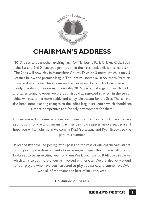

### **CHAIRMAN'S ADDRESS**

2017 is set to be another exciting year for Tichborne Park Cricket Club. Both the 1st and 2nd XI secured promotion in their respective divisions last year. The 2nds will now play in Hampshire County Division 3 north, which is only 3 leagues below the premier league. The 1sts will now play in Southern Premier league division one. This is a massive achievement for a club of our size with only one division above us. Undeniably 2016 was a challenge for our 3rd XI and ladies team, however we are optimistic that renewed strength in the senior sides will result in a more stable and enjoyable season for the 3rds. There have also been some exciting changes to the ladies league structure which should see a more competitive and friendly environment for them.

This season will also see two overseas players join Tichborne Park. Back to back promotions for the 2nds means that they can now register an overseas player. I hope you will all join me in welcoming Prad Gunaratne and Ryan Brooks to the park this summer.

Prad and Ryan will be joining Pete Spain and the rest of our coaches/assistants in supporting the development of our younger players this summer. 2017 also looks set to be an exciting year for them. We launch the ECB All Stars initiative, which aims to get more under 9s involved with cricket. We are also very proud of our players who have been selected to play at district and county level. We wish all of the teams the best of luck this year.

#### **Continued on page 2**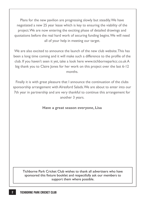Plans for the new pavilion are progressing slowly but steadily. We have negotiated a new 25 year lease which is key to ensuring the viability of the project. We are now entering the exciting phase of detailed drawings and quotations before the real hard work of securing funding begins. We will need all of your help in meeting our target.

We are also excited to announce the launch of the new club website. This has been a long time coming and it will make such a difference to the profile of the club. If you haven't seen it yet, take a look here www.tichborneparkcc.co.uk A big thank you to Claire Jones for her work on this project over the last 6-12 months.

Finally it is with great pleasure that I announce the continuation of the clubs sponsorship arrangement with Alresford Salads. We are about to enter into our 7th year in partnership and are very thankful to continue this arrangement for another 3 years.

#### **Have a great season everyone, Lisa**

Tichborne Park Cricket Club wishes to thank all advertisers who have sponsored this fixture booklet and respectfully ask our members to support them where possible.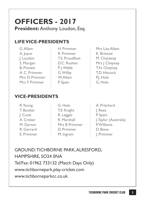# **OFFICERS - 2017**

**President: Anthony Loudon, Esq.** 

#### **LIFE VICE-PRESIDENTS**

| G. Allam          |
|-------------------|
| A. Joyce          |
| J. Loudon         |
| S. Morgan         |
| <b>B.</b> Prevett |
| A. C. Primmer     |
| Mrs D. Primmer    |
| Mrs F Primmer     |
|                   |

- H. Primmer R. Primmer T.S. Proudfoot D.C. Rushen P. J. Webb G. Wilby W. Allam P. Spain
- Mrs Lisa Allam K. Bristow M. Chataway Mrs | Cheyney T.N. Cheyney T.D. Hiscock P.J. Hole G. Hole

#### **VICE-PRESIDENTS**

| R. Young   | G. Hole       | A. Pritchard          |
|------------|---------------|-----------------------|
| T. Booker  | T.E Knight    | J. Rees               |
| I. Cook    | R. Legget     | P. Spain              |
| A. Croker  | R. Marshall   | J. Taylor (Australia) |
| M. Garton  | Mrs B Primmer | P.Williams            |
| R. Gerrard | D. Primmer    | D. Bone               |
| E. Primmer | M. Ingram     | J. Primmer            |

GROUND: TICHBORNE PARK, ALRESFORD, HAMPSHIRE, SO24 0NA Tel/Fax: 01962 733132 (Match Days Only) www.tichbornepark.play-cricket.com www.tichborneparkcc.co.uk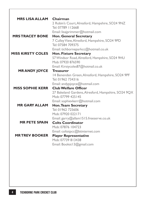| <b>MRS LISA ALLAM</b>    | Chairman<br>2 Robin's Court, Alresford, Hampshire, SO24 9NZ                                                                              |
|--------------------------|------------------------------------------------------------------------------------------------------------------------------------------|
| <b>MRSTRACEY BONE</b>    | Tel: 07789 112668<br>Email: lisajprimmer@hotmail.com<br><b>Hon. General Secretary</b><br>7 Culley View, Alresford, Hampshire, SO24 9PD   |
| <b>MISS KIRSTY COLES</b> | Tel: 07584 709375<br>Email: tichborneparkcc@hotmail.co.uk<br><b>Hon. Fixture Secretary</b>                                               |
|                          | 57 Windsor Road, Alresford, Hampshire, SO24 9HU<br>Mob: 07920 876590<br>Email: Kirstycoles87@hotmail.co.uk                               |
| <b>MRANDY JOYCE</b>      | <b>Treasurer</b><br>14 Benenden Green, Alresford, Hampshire, SO24 9PF<br>Tel: 01962 734316                                               |
| <b>MISS SOPHIE KERR</b>  | Email: andypjoyce@hotmail.com<br><b>Club Welfare Officer</b><br>27 Bakeland Gardens, Alresford, Hampshire, SO24 9QX<br>Mob: 07799 425145 |
| <b>MR GARY ALLAM</b>     | Email: sophievkerr@hotmail.com<br><b>Hon. Team Secretary</b><br>Tel: 01962 725606<br>Mob: 07920 022171                                   |
| <b>MR PETE SPAIN</b>     | Email: garry@allam   5   5.freeserve.co.uk<br><b>Colts Coordinator</b><br>Mob: 07876 104723<br>Email: coltstpcc@btinternet.com           |
| <b>MRTREV BOOKER</b>     | <b>Player Representative</b><br>Mob: 07739 813438<br>Email: Bookst J3@gmail.com                                                          |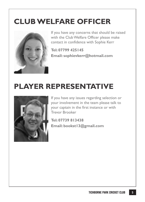# **CLUB WELFARE OFFICER**



If you have any concerns that should be raised with the Club Welfare Officer please make contact in confidence with Sophie Kerr

**Tel: 07799 425145 Email: sophievkerr@hotmail.com**

# **PLAYER REPRESENTATIVE**



If you have any issues regarding selection or your involvement in the team please talk to your captain in the first instance or with Trevor Brooker

**Tel: 07739 813438 Email: bookst13@gmail.com**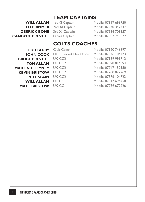#### **TEAM CAPTAINS**

CANDYCE PREVETT Ladies Captain Mobile: 07802 740022 **ED PRIMMER** 2nd XI Cantain **DERRICK BONE** 3rd XI Captain

**WILL ALLAM** Ist XI Captain Mobile: 07917 696750 Mobile: 07970 342437 Mobile: 07584 709357

#### **COLTS COACHES**

**EDD BERRY** Club Coach **BRUCE PREVETT** UK CC2 **TOM ALLAM MARTIN CHEYNEY** UK CC2 **KEVIN BRISTOW PETE SPAIN** UK CC2 **WILL ALLAM MATT BRISTOW**

JOHN COOK HCB Cricket Dev.Officer Mobile: 07876 104723

Mobile: 07920 746697 UK CC2 Mobile: 07989 991712 Mobile: 07990 814694 UK CC2 Mobile: 07747 152380 Mobile: 07788 877269 Mobile: 07876 104723 Mobile: 07917 696750 Mobile: 07789 672226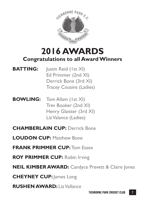

### **2016 AWARDS Congratulations to all Award Winners**

- **BATTING:** Justin Reid (1st XI) Ed Primmer (2nd XI) Derrick Bone (3rd XI) Tracey Cousins (Ladies)
- **BOWLING:** Tom Allam (1st XI) Trev Booker (2nd XI) Henry Glaister (3rd XI) Liz Valance (Ladies)
- **CHAMBERLAIN CUP:** Derrick Bone
- **LOUDON CUP:** Matthew Bone
- **FRANK PRIMMER CUP:** Tom Essex
- **ROY PRIMMER CUP:** Robin Irving
- **NEIL KIMBER AWARD:** Candyce Prevett & Claire Jones
- **CHEYNEY CUP:** James Long
- **RUSHEN AWARD:** Liz Vallance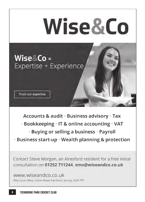

Accounts & audit · Business advisory · Tax

- **Bookkeeping IT & online accounting VAT** 
	- **Buying or selling a business Payroll**
- Business start-up Wealth planning & protection

Contact Steve Morgan, an Alresford resident for a free initial consultation on 01252 711244, smo@wiseandco.co.uk

www.wiseandco.co.uk Wey Court West, Union Road, Farnham, Surrey, GU9 7PT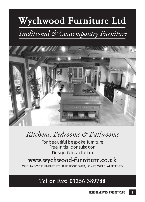# **Wychwood Furniture Ltd**

# *Traditional & Contemporary Furniture*



## *Kitchens, Bedrooms & Bathrooms*

For beautiful bespoke furniture Free initial consultation Design & Installation

#### **www.wychwood-furniture.co.uk**

WYCHWOOD FURNITURE LTD, BLUERIDGE FARM, LOWER WIELD, ALRESFORD

#### **Tel or Fax: 01256 389788**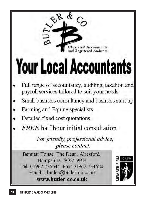

# **Your Local Accountants**

- Full range of accountancy, auditing, taxation and payroll services tailored to suit your needs
- Small business consultancy and business start up
- Farming and Equine specialists
- Detailed fixed cost quotations
- **FREE** half hour initial consultation

For friendly, professional advice, please contact:

Bennett House, The Dean, Alresford, Hampshire, SO24 9BH Tel: 01962 735544 Fax: 01962 734620 Email: j.butler@butler-co.co.uk www.butler-co.co.uk

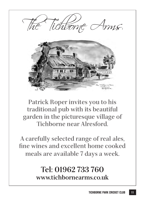

**Patrick Roper invites you to his traditional pub with its beautiful garden in the picturesque village of Tichborne near Alresford.**

**A carefully selected range of real ales, fine wines and excellent home cooked meals are available 7 days a week.**

### **Tel: 01962 733 760 www.tichbornearms.co.uk**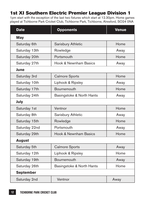#### 1st XI Southern Electric Premier League Division 1

1pm start with the exception of the last two fixtures which start at 12.30pm. Home games played at Tichborne Park Cricket Club, Tichborne Park, Tichborne, Alresford, SO24 0NA

| <b>Date</b>      | <b>Opponents</b>          | <b>Venue</b> |  |
|------------------|---------------------------|--------------|--|
| May              |                           |              |  |
| Saturday 6th     | Sarisbury Athletic        | Home         |  |
| Saturday 13th    | Rowledge                  | Away         |  |
| Saturday 20th    | Portsmouth                | Home         |  |
| Saturday 27th    | Hook & Newnham Basics     | Away         |  |
| June             |                           |              |  |
| Saturday 3rd     | <b>Calmore Sports</b>     | Home         |  |
| Saturday 10th    | Liphook & Ripsley         | Away         |  |
| Saturday 17th    | Bournemouth               | Home         |  |
| Saturday 24th    | Basingstoke & North Hants | Away         |  |
| July             |                           |              |  |
| Saturday 1st     | Ventnor                   | Home         |  |
| Saturday 8th     | Sarisbury Athletic        | Away         |  |
| Saturday 15th    | Rowledge                  | Home         |  |
| Saturday 22nd    | Portsmouth                | Away         |  |
| Saturday 29th    | Hook & Newnham Basics     | Home         |  |
| <b>August</b>    |                           |              |  |
| Saturday 5th     | <b>Calmore Sports</b>     | Away         |  |
| Saturday 12th    | Liphook & Ripsley         | Home         |  |
| Saturday 19th    | Bournemouth               | Away         |  |
| Saturday 26th    | Basingstoke & North Hants | Home         |  |
| <b>September</b> |                           |              |  |
| Saturday 2nd     | Ventnor                   | Away         |  |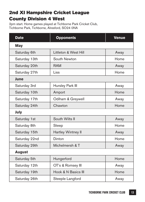#### 2nd XI Hampshire Cricket League County Division 4 West

2pm start. Home games played at Tichborne Park Cricket Club, Tichborne Park, Tichborne, Alresford, SO24 0NA

| <b>Date</b>   | <b>Opponents</b>      | <b>Venue</b> |
|---------------|-----------------------|--------------|
| May           |                       |              |
| Saturday 6th  | Littleton & West Hill | Away         |
| Saturday 13th | South Newton          | Home         |
| Saturday 20th | <b>RAM</b>            | Away         |
| Saturday 27th | Liss                  | Home         |
| June          |                       |              |
| Saturday 3rd  | Hursley Park III      | Away         |
| Saturday 10th | Amport                | Home         |
| Saturday 17th | Odiham & Greywell     | Away         |
| Saturday 24th | Chawton               | Home         |
| July          |                       |              |
| Saturday 1st  | South Wilts II        | Away         |
| Saturday 8th  | Steep                 | Home         |
| Saturday 15th | Hartley Wintney II    | Away         |
| Saturday 22nd | Dinton                | Home         |
| Saturday 29th | Michelmersh & T       | Away         |
| <b>August</b> |                       |              |
| Saturday 5th  | Hungerford            | Home         |
| Saturday 12th | OT's & Romsey III     | Away         |
| Saturday 19th | Hook & N Basics III   | Home         |
| Saturday 26th | Steeple Langford      | Away         |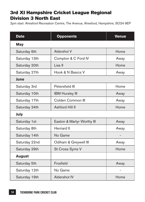#### 3rd XI Hampshire Cricket League Regional Division 3 North East

2pm start. Alresford Recreation Centre, The Avenue, Alresford, Hampshire, SO24 9EP

| <b>Date</b>   | <b>Opponents</b>           | <b>Venue</b> |
|---------------|----------------------------|--------------|
| May           |                            |              |
| Saturday 6th  | Aldershot V                | Home         |
| Saturday 13th | Compton & C Ford IV        | Away         |
| Saturday 20th | Liss II                    | Home         |
| Saturday 27th | Hook & N Basics V          | Away         |
| June          |                            |              |
| Saturday 3rd  | Petersfield III            | Home         |
| Saturday 10th | <b>IBM Hursley III</b>     | Away         |
| Saturday 17th | Colden Common III          | Away         |
| Saturday 24th | Ashford Hill II            | Home         |
| July          |                            |              |
| Saturday 1st  | Easton & Martyr Worthy III | Away         |
| Saturday 8th  | <b>Herriard II</b>         | Away         |
| Saturday 14th | No Game                    |              |
| Saturday 22nd | Odiham & Greywell III      | Away         |
| Saturday 29th | St Cross Syms V            | Home         |
| <b>August</b> |                            |              |
| Saturday 5th  | Froxfield                  | Away         |
| Saturday 12th | No Game                    |              |
| Saturday 19th | Aldershot IV               | Home         |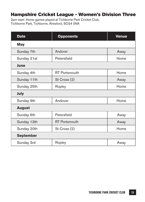#### Hampshire Cricket League - Women's Division Three

2pm start. Home games played at Tichborne Park Cricket Club, Tichborne Park, Tichborne, Alresford, SO24 0NA

| <b>Date</b>      | <b>Opponents</b>     | <b>Venue</b> |
|------------------|----------------------|--------------|
| May              |                      |              |
| Sunday 7th       | Andover              | Away         |
| Sunday 21st      | Petersfield          | Home         |
| June             |                      |              |
| Sunday 4th       | <b>RT</b> Portsmouth | Home         |
| Sunday 11th      | St Cross (2)         | Away         |
| Sunday 25th      | Ropley               | Home         |
| July             |                      |              |
| Sunday 9th       | Andover              | Home         |
| <b>August</b>    |                      |              |
| Sunday 6th       | Petersfield          | Away         |
| Sunday 13th      | <b>RT</b> Portsmouth | Away         |
| Sunday 20th      | St Cross (2)         | Home         |
| <b>September</b> |                      |              |
| Sunday 3rd       | Ropley               | Away         |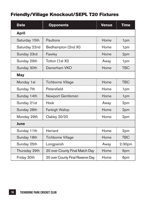#### Friendly/Village Knockout/SEPL T20 Fixtures

| <b>Date</b>   | <b>Opponents</b>                 | <b>Venue</b> | <b>Time</b>        |  |  |
|---------------|----------------------------------|--------------|--------------------|--|--|
| <b>April</b>  |                                  |              |                    |  |  |
| Saturday 15th | Paultons                         | Home         | 1pm                |  |  |
| Saturday 22nd | Bedhampton (2nd XI)              | Home         | 1pm                |  |  |
| Sunday 23rd   | Fawley                           | Home         | 2pm                |  |  |
| Sunday 29th   | Totton (1st XI)                  | Away         | 1pm                |  |  |
| Sunday 30th   | Damerham VKO                     | Home         | <b>TBC</b>         |  |  |
| May           |                                  |              |                    |  |  |
| Monday 1st    | <b>Tichborne Village</b>         | Home         | <b>TBC</b>         |  |  |
| Sunday 7th    | Petersfield                      | Home         | 1pm                |  |  |
| Sunday 14th   | Newport Gentlemen                | Home         | 1pm                |  |  |
| Sunday 21st   | Hook                             | Away         | 2pm                |  |  |
| Sunday 28th   | <b>Farleigh Wallop</b>           | Home         | 2pm                |  |  |
| Monday 29th   | Oakley 20/20                     | Home         | 2pm                |  |  |
| June          |                                  |              |                    |  |  |
| Sunday 11th   | Herriard                         | Home         | 2pm                |  |  |
| Sunday 18th   | <b>Tichborne Village</b>         | Home         | <b>TBC</b>         |  |  |
| Sunday 25th   | Longparish                       | Away         | 2:30 <sub>pm</sub> |  |  |
| Thursday 29th | 20 over County Final Match Day   | Home         | 6pm                |  |  |
| Friday 30th   | 20 over County Final Reserve Day | Home         | 6pm                |  |  |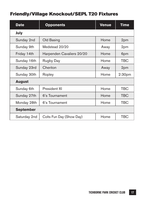#### Friendly/Village Knockout/SEPL T20 Fixtures

| <b>Date</b>      | <b>Opponents</b>          | <b>Venue</b> | Time               |
|------------------|---------------------------|--------------|--------------------|
| July             |                           |              |                    |
| Sunday 2nd       | Old Basing                | Home         | 2pm                |
| Sunday 9th       | Medstead 20/20            | Away         | 2pm                |
| Friday 14th      | Harpenden Cavaliers 20/20 | Home         | 6pm                |
| Sunday 16th      | Rugby Day                 | Home         | TBC                |
| Sunday 23rd      | Cheriton                  | Away         | 2pm                |
| Sunday 30th      | Ropley                    | Home         | 2:30 <sub>pm</sub> |
| <b>August</b>    |                           |              |                    |
| Sunday 6th       | President XI              | Home         | TBC                |
| Sunday 27th      | 6's Tournament            | Home         | TBC                |
| Monday 28th      | 6's Tournament            | Home         | TBC                |
| <b>September</b> |                           |              |                    |
| Saturday 2nd     | Colts Fun Day (Show Day)  | Home         | TBC                |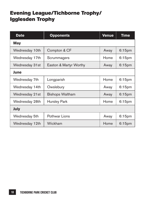#### Evening League/Tichborne Trophy/ Igglesden Trophy

| <b>Date</b>    | <b>Opponents</b>       | <b>Venue</b> | Time               |
|----------------|------------------------|--------------|--------------------|
| May            |                        |              |                    |
| Wednesday 10th | Compton & CF           | Away         | $6:15$ pm          |
| Wednesday 17th | Scrummagers            | Home         | 6:15 <sub>pm</sub> |
| Wednesday 31st | Easton & Martyr Worthy | Away         | $6:15$ pm          |
| June           |                        |              |                    |
| Wednesday 7th  | Longparish             | Home         | $6:15$ pm          |
| Wednesday 14th | Owslebury              | Away         | $6:15$ pm          |
| Wednesday 21st | <b>Bishops Waltham</b> | Away         | $6:15$ pm          |
| Wednesday 28th | Hursley Park           | Home         | 6:15 <sub>pm</sub> |
| July           |                        |              |                    |
| Wednesday 5th  | Pothwar Lions          | Away         | $6:15$ pm          |
| Wednesday 12th | Wickham                | Home         | $6:15$ pm          |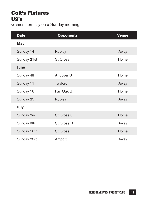#### Colt's Fixtures U9's

Games normally on a Sunday morning

| <b>Date</b> | <b>Opponents</b>     | <b>Venue</b> |  |
|-------------|----------------------|--------------|--|
| May         |                      |              |  |
| Sunday 14th | Ropley               | Away         |  |
| Sunday 21st | St Cross F           | Home         |  |
| June        |                      |              |  |
| Sunday 4th  | Andover <sub>B</sub> | Home         |  |
| Sunday 11th | Twyford              | Away         |  |
| Sunday 18th | Fair Oak B           | Home         |  |
| Sunday 25th | Ropley               | Away         |  |
| July        |                      |              |  |
| Sunday 2nd  | St Cross C           | Home         |  |
| Sunday 9th  | St Cross D           | Away         |  |
| Sunday 16th | St Cross E           | Home         |  |
| Sunday 23rd | Amport               | Away         |  |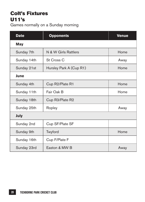#### Colt's Fixtures U11's

Games normally on a Sunday morning

| <b>Date</b> | <b>Opponents</b>        | Venue |
|-------------|-------------------------|-------|
| May         |                         |       |
| Sunday 7th  | N & W Girls Rattlers    | Home  |
| Sunday 14th | St Cross C              | Away  |
| Sunday 21st | Hursley Park A (Cup R1) | Home  |
| June        |                         |       |
| Sunday 4th  | Cup R2/Plate R1         | Home  |
| Sunday 11th | Fair Oak B              | Home  |
| Sunday 18th | Cup R3/Plate R2         |       |
| Sunday 25th | Ropley                  | Away  |
| July        |                         |       |
| Sunday 2nd  | Cup SF/Plate SF         |       |
| Sunday 9th  | Twyford                 | Home  |
| Sunday 16th | Cup F/Plate F           |       |
| Sunday 23rd | Easton & MW B           | Away  |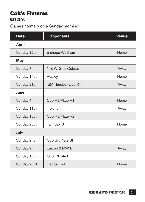#### Colt's Fixtures U13's

Games normally on a Sunday morning

| <b>Date</b>  | <b>Opponents</b>       | <b>Venue</b> |
|--------------|------------------------|--------------|
| <b>April</b> |                        |              |
| Sunday 30th  | <b>Bishops Waltham</b> | Home         |
| May          |                        |              |
| Sunday 7th   | N & W Girls Cobras     | Away         |
| Sunday 14th  | Ropley                 | Home         |
| Sunday 21st  | IBM Hursley (Cup R1)   | Away         |
| June         |                        |              |
| Sunday 4th   | Cup R2/Plate R1        | Home         |
| Sunday 11th  | Trojans                | Away         |
| Sunday 18th  | Cup R3/Plate R2        |              |
| Sunday 25th  | Fair Oak B             | Home         |
| July         |                        |              |
| Sunday 2nd   | Cup SF/Plate SF        |              |
| Sunday 9th   | Faston & MW B          | Away         |
| Sunday 16th  | Cup F/Plate F          |              |
| Sunday 23rd  | Hedge End              | Home         |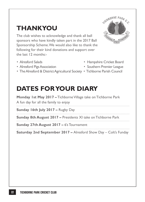## **THANKYOU**

The club wishes to acknowledge and thank all ball sponsors who have kindly taken part in the 2017 Ball Sponsorship Scheme. We would also like to thank the following for their kind donations and support over the last 12 months:-

- 
- 
- The Alresford & District Agricultural Society Tichborne Parish Council

## **DATES FOR YOUR DIARY**

**Monday 1st May 2017 –** Tichborne Village take on Tichborne Park A fun day for all the family to enjoy **Sunday 16th July 2017 –** Rugby Day **Sunday 8th August 2017 –** Presidents XI take on Tichborne Park **Sunday 27th August 2017 –** 6's Tournament **Saturday 2nd September 2017 –** Alresford Show Day – Colt's Funday

- ICHBORNE PARK **CAVA PRO**
- Alresford Salads Hampshire Cricket Board
- Alresford Pigs Association Southern Premier League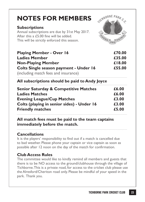| <b>NOTES FOR MEMBERS</b><br><b>Subscriptions</b><br>Annual subscriptions are due by 31st May 2017.<br>After this a £5.00 fine will be added.<br>This will be strictly enforced this season. | <b>SCHEDRNE PARK C.C.</b>                 |
|---------------------------------------------------------------------------------------------------------------------------------------------------------------------------------------------|-------------------------------------------|
| <b>Playing Member - Over 16</b><br><b>Ladies Member</b><br><b>Non-Playing Member</b><br>Colts Single season payment - Under 16<br>(including match fees and insurance)                      | £70.00<br>£35.00<br>£18.00<br>£55.00      |
| All subscriptions should be paid to Andy Joyce                                                                                                                                              |                                           |
| <b>Senior Saturday &amp; Competitive Matches</b><br><b>Ladies Matches</b><br><b>Evening League/Cup Matches</b><br>Colts (playing in senior sides) - Under 16<br><b>Friendly matches</b>     | £6.00<br>£6.00<br>£3.00<br>£3.00<br>£5.00 |

#### **All match fees must be paid to the team captains immediately before the match.**

#### **Cancellations**

It is the players' responsibility to find out if a match is cancelled due to bad weather. Please phone your captain or vice captain as soon as possible after 12 noon on the day of the match for confirmation.

#### **Club Access Rules**

The committee would like to kindly remind all members and guests that there is to be NO access to the ground/clubhouse through the village of Tichborne. This is a private road, for access to the cricket club please use the Alresford/Cheriton road only. Please be mindful of your speed in the park. Thank you.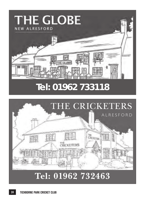

# THE CRICKETERS ALRESFORDve<br>Crocetes 問題

# **Tel: 01962 732463**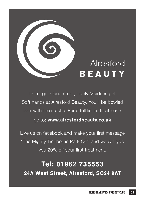

Don't get Caught out, lovely Maidens get Soft hands at Alresford Beauty. You'll be bowled over with the results. For a full list of treatments go to; **www.alresfordbeauty.co.uk**

Like us on facebook and make your first message "The Mighty Tichborne Park CC" and we will give you 20% off your first treatment.

**Tel: 01962 735553 24A West Street, Alresford, SO24 9AT**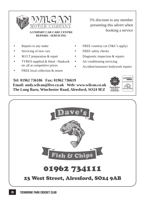

#### **REPAIRS - SERVICING**

- Repairs to any make
- Servicing of new cars
- M.O.T preparation & repair
- TYRES supplied & fitted Hankook etc all at competitive prices
- FREE local collection & return

5% discount to any member presenting this advert when booking a service **A UNIPART CAR CARE CENTRE**

- FREE courtesy car (T&C's apply)
- FREE safety checks
- Diagnostic inspection & repairs
- Air conditioning servicing
	- Accident/insurance bodywork repairs

**Tel: 01962 736186 Fax: 01962 736619 Email: andy.wilcan@live.co.uk Web: www.wilcan.co.uk The Long Barn, Winchester Road, Alresford, SO24 9EZ**



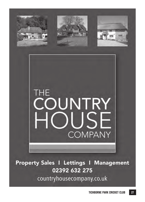



Property Sales I Lettings I Management 02392 632 275 countryhousecompany.co.uk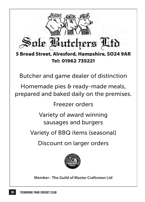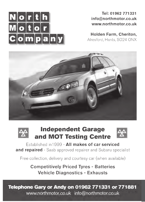

Tel: 01962 771331 info@northmotor.co.uk www.northmotor.co.uk

Holden Farm, Cheriton,

Alresford, Hants, SO24 ONX



#### **Independent Garage** and MOT Testing Centre



Established in 1999 - All makes of car serviced and repaired - Saab approved repairer and Subaru specialist

Free collection, delivery and courtesy car (when available)

**Competitively Priced Tyres - Batteries Vehicle Diagnostics - Exhausts** 

Telephone Gary or Andy on 01962 771331 or 771881

www.northmotor.co.uk info@northmotor.co.uk